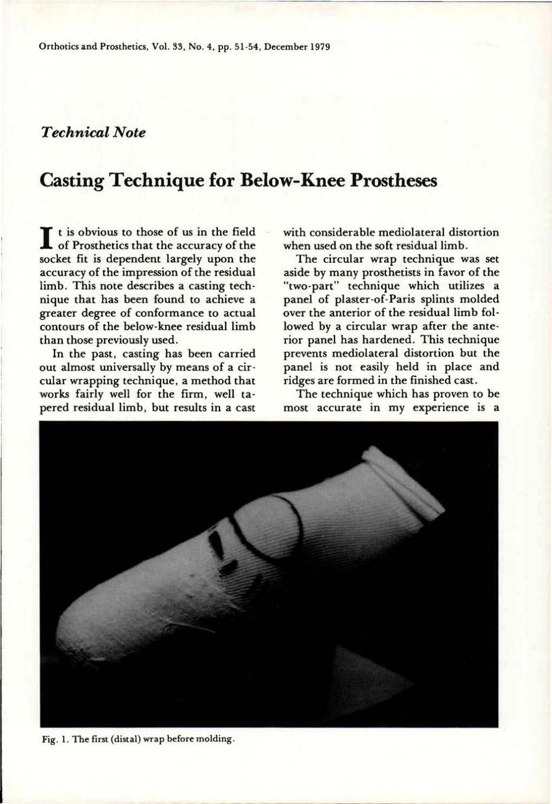## *Technical Note*

## **Casting Technique for Below-Knee Prostheses**

I t is obvious to those of us in the field<br>of Prosthetics that the accuracy of the<br>socket fit is dependent largely upon the t is obvious to those of us in the field of Prosthetics that the accuracy of the accuracy of the impression of the residual limb. This note describes a casting technique that has been found to achieve a greater degree of conformance to actual contours of the below-knee residual limb than those previously used.

In the past, casting has been carried out almost universally by means of a circular wrapping technique, a method that works fairly well for the firm, well tapered residual limb, but results in a cast with considerable mediolateral distortion when used on the soft residual limb.

The circular wrap technique was set aside by many prosthetists in favor of the "two-part" technique which utilizes a panel of plaster-of-Paris splints molded over the anterior of the residual limb followed by a circular wrap after the anterior panel has hardened. This technique prevents mediolateral distortion but the panel is not easily held in place and ridges are formed in the finished cast.

The technique which has proven to be most accurate in my experience is a



**Fig. 1. The first (distal) wrap before molding.**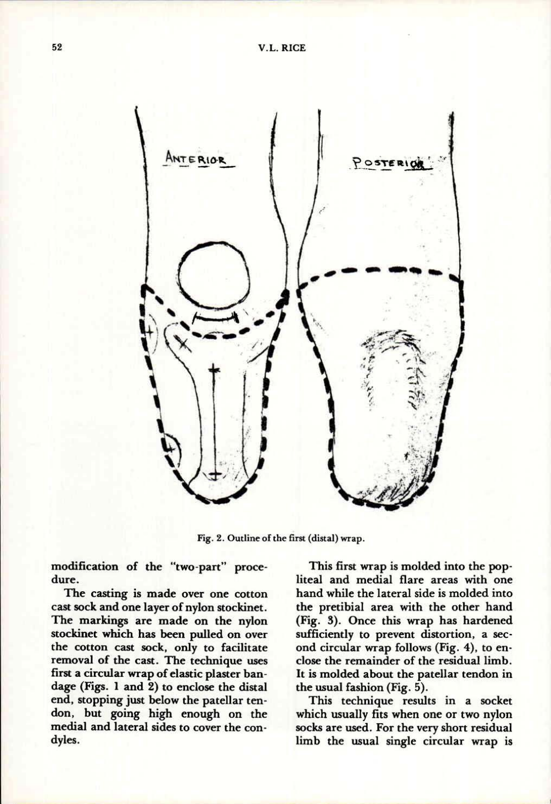

**Fig. 2. Outline of the first (distal) wrap.** 

modification of the "two-part" procedure.

The casting is made over one cotton cast sock and one layer of nylon stockinet. The markings are made on the nylon stockinet which has been pulled on over the cotton cast sock, only to facilitate removal of the cast. The technique uses first a circular wrap of elastic plaster bandage (Figs. **1** and **2)** to enclose the distal end, stopping just below the patellar tendon, but going high enough on the medial and lateral sides to cover the condyles.

This first wrap is molded into the popliteal and medial flare areas with one hand while the lateral side is molded into the pretibial area with the other hand (Fig. **3).** Once this wrap has hardened sufficiently to prevent distortion, a second circular wrap follows (Fig. **4),** to enclose the remainder of the residual limb. It is molded about the patellar tendon in the usual fashion (Fig. 5).

This technique results in a socket which usually fits when one or two nylon socks are used. For the very short residual limb the usual single circular wrap is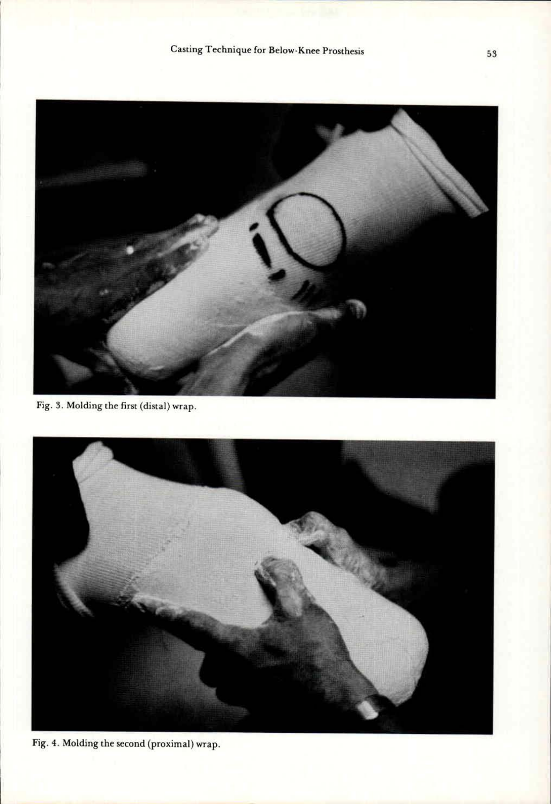

Fig. **3.** Molding the first (distal) wrap.



Fig. **4.** Molding the second (proximal) wrap.